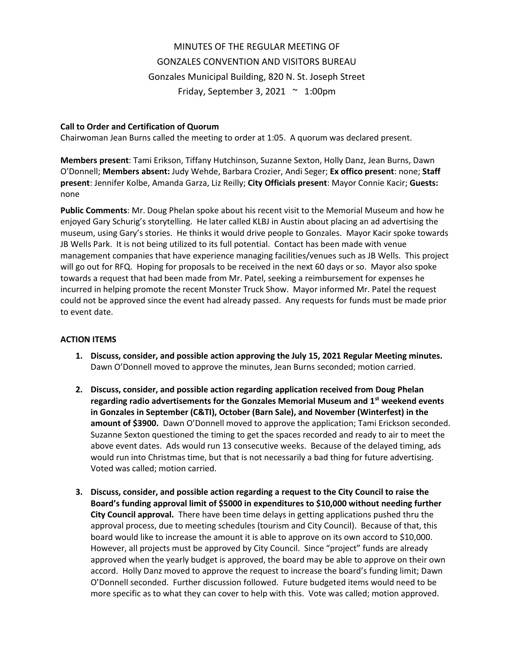# MINUTES OF THE REGULAR MEETING OF GONZALES CONVENTION AND VISITORS BUREAU Gonzales Municipal Building, 820 N. St. Joseph Street Friday, September 3, 2021  $\sim$  1:00pm

## **Call to Order and Certification of Quorum**

Chairwoman Jean Burns called the meeting to order at 1:05. A quorum was declared present.

**Members present**: Tami Erikson, Tiffany Hutchinson, Suzanne Sexton, Holly Danz, Jean Burns, Dawn O'Donnell; **Members absent:** Judy Wehde, Barbara Crozier, Andi Seger; **Ex offico present**: none; **Staff present**: Jennifer Kolbe, Amanda Garza, Liz Reilly; **City Officials present**: Mayor Connie Kacir; **Guests:** none

**Public Comments**: Mr. Doug Phelan spoke about his recent visit to the Memorial Museum and how he enjoyed Gary Schurig's storytelling. He later called KLBJ in Austin about placing an ad advertising the museum, using Gary's stories. He thinks it would drive people to Gonzales. Mayor Kacir spoke towards JB Wells Park. It is not being utilized to its full potential. Contact has been made with venue management companies that have experience managing facilities/venues such as JB Wells. This project will go out for RFQ. Hoping for proposals to be received in the next 60 days or so. Mayor also spoke towards a request that had been made from Mr. Patel, seeking a reimbursement for expenses he incurred in helping promote the recent Monster Truck Show. Mayor informed Mr. Patel the request could not be approved since the event had already passed. Any requests for funds must be made prior to event date.

#### **ACTION ITEMS**

- **1. Discuss, consider, and possible action approving the July 15, 2021 Regular Meeting minutes.**  Dawn O'Donnell moved to approve the minutes, Jean Burns seconded; motion carried.
- **2. Discuss, consider, and possible action regarding application received from Doug Phelan regarding radio advertisements for the Gonzales Memorial Museum and 1st weekend events in Gonzales in September (C&TI), October (Barn Sale), and November (Winterfest) in the amount of \$3900.** Dawn O'Donnell moved to approve the application; Tami Erickson seconded. Suzanne Sexton questioned the timing to get the spaces recorded and ready to air to meet the above event dates. Ads would run 13 consecutive weeks. Because of the delayed timing, ads would run into Christmas time, but that is not necessarily a bad thing for future advertising. Voted was called; motion carried.
- **3. Discuss, consider, and possible action regarding a request to the City Council to raise the Board's funding approval limit of \$5000 in expenditures to \$10,000 without needing further City Council approval.** There have been time delays in getting applications pushed thru the approval process, due to meeting schedules (tourism and City Council). Because of that, this board would like to increase the amount it is able to approve on its own accord to \$10,000. However, all projects must be approved by City Council. Since "project" funds are already approved when the yearly budget is approved, the board may be able to approve on their own accord. Holly Danz moved to approve the request to increase the board's funding limit; Dawn O'Donnell seconded. Further discussion followed. Future budgeted items would need to be more specific as to what they can cover to help with this. Vote was called; motion approved.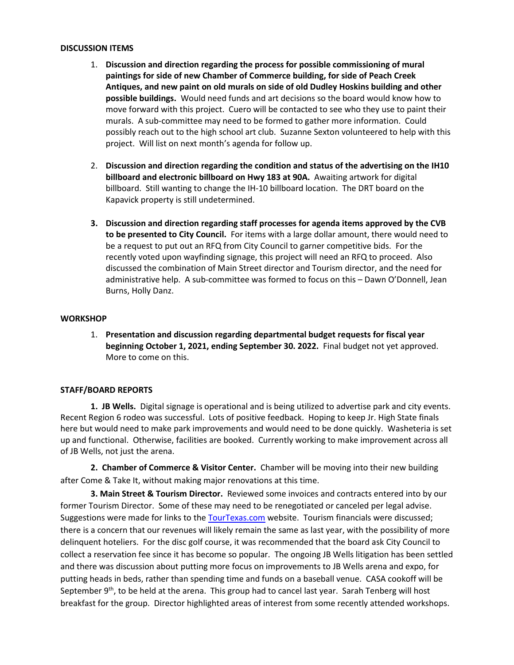#### **DISCUSSION ITEMS**

- 1. **Discussion and direction regarding the process for possible commissioning of mural paintings for side of new Chamber of Commerce building, for side of Peach Creek Antiques, and new paint on old murals on side of old Dudley Hoskins building and other possible buildings.** Would need funds and art decisions so the board would know how to move forward with this project. Cuero will be contacted to see who they use to paint their murals. A sub-committee may need to be formed to gather more information. Could possibly reach out to the high school art club. Suzanne Sexton volunteered to help with this project. Will list on next month's agenda for follow up.
- 2. **Discussion and direction regarding the condition and status of the advertising on the IH10 billboard and electronic billboard on Hwy 183 at 90A.** Awaiting artwork for digital billboard. Still wanting to change the IH-10 billboard location. The DRT board on the Kapavick property is still undetermined.
- **3. Discussion and direction regarding staff processes for agenda items approved by the CVB to be presented to City Council.** For items with a large dollar amount, there would need to be a request to put out an RFQ from City Council to garner competitive bids.For the recently voted upon wayfinding signage, this project will need an RFQ to proceed.Also discussed the combination of Main Street director and Tourism director, and the need for administrative help. A sub-committee was formed to focus on this – Dawn O'Donnell, Jean Burns, Holly Danz.

## **WORKSHOP**

1. **Presentation and discussion regarding departmental budget requests for fiscal year beginning October 1, 2021, ending September 30. 2022.** Final budget not yet approved. More to come on this.

## **STAFF/BOARD REPORTS**

**1. JB Wells.** Digital signage is operational and is being utilized to advertise park and city events. Recent Region 6 rodeo was successful. Lots of positive feedback. Hoping to keep Jr. High State finals here but would need to make park improvements and would need to be done quickly. Washeteria is set up and functional. Otherwise, facilities are booked. Currently working to make improvement across all of JB Wells, not just the arena.

**2. Chamber of Commerce & Visitor Center.** Chamber will be moving into their new building after Come & Take It, without making major renovations at this time.

**3. Main Street & Tourism Director.** Reviewed some invoices and contracts entered into by our former Tourism Director. Some of these may need to be renegotiated or canceled per legal advise. Suggestions were made for links to the [TourTexas.com](https://linkprotect.cudasvc.com/url?a=https%3a%2f%2fTourTexas.com&c=E,1,xEC3hT4mzqSPjc8w7Q8BO0k5R7STGtnW3lALMlv3hL-5NtwqUYYMTv0jaU-kjT54LmYOuyqi628KyvWTNtZOt6d4Vi2lEwROB9WagQ7AdQb7QjQJQw,,&typo=1&ancr_add=1) website. Tourism financials were discussed; there is a concern that our revenues will likely remain the same as last year, with the possibility of more delinquent hoteliers. For the disc golf course, it was recommended that the board ask City Council to collect a reservation fee since it has become so popular. The ongoing JB Wells litigation has been settled and there was discussion about putting more focus on improvements to JB Wells arena and expo, for putting heads in beds, rather than spending time and funds on a baseball venue. CASA cookoff will be September 9<sup>th</sup>, to be held at the arena. This group had to cancel last year. Sarah Tenberg will host breakfast for the group. Director highlighted areas of interest from some recently attended workshops.